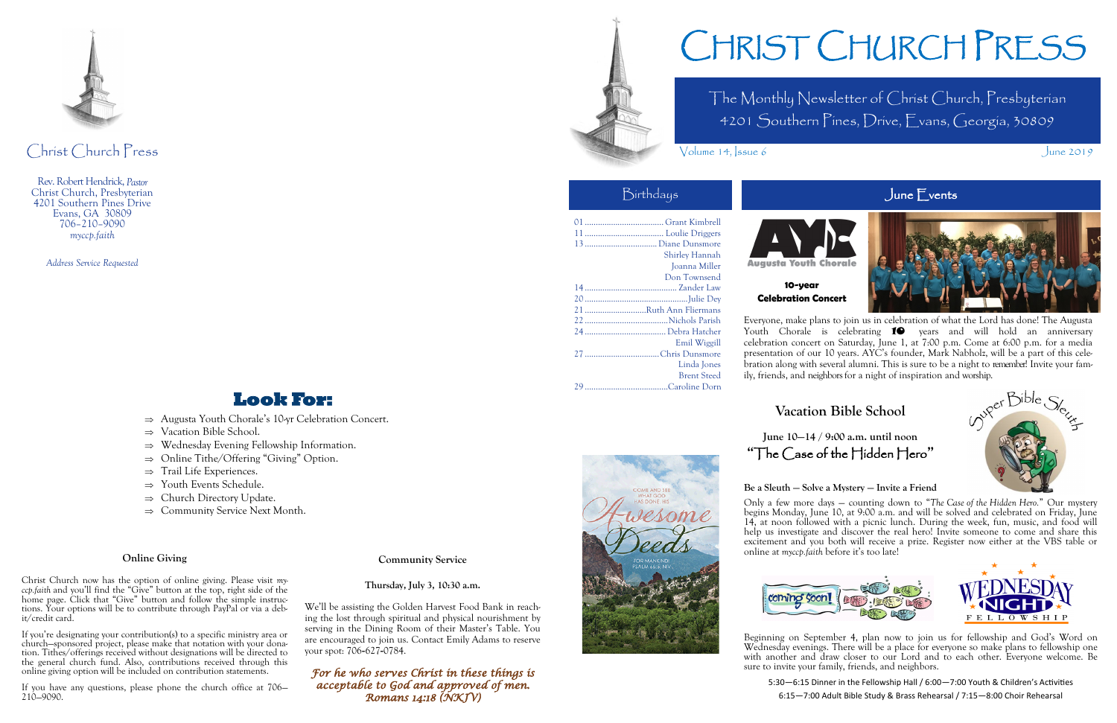The Monthly Newsletter of Christ Church, Presbyterian 4201 Southern Pines, Drive, Evans, Georgia, 30809

 $\text{Volume } 14, \text{ |} \text{s}$ 

# CHRIST CHURCH PRESS

| Shirley Hannah       |
|----------------------|
| Joanna Miller        |
| Don Townsend         |
|                      |
|                      |
| 21Ruth Ann Fliermans |
|                      |
|                      |
| Emil Wiggill         |
|                      |
| Linda Jones          |
| <b>Brent Steed</b>   |
|                      |





# Christ Church Press

Rev. Robert Hendrick, *Pastor* Christ Church, Presbyterian 4201 Southern Pines Drive Evans, GA 30809 706–210–9090 *myccp.faith*

*Address Service Requested*

# **Look For:**

- $\Rightarrow$  Augusta Youth Chorale's 10-yr Celebration Concert.
- $\Rightarrow$  Vacation Bible School.
- $\Rightarrow$  Wednesday Evening Fellowship Information.
- $\Rightarrow$  Online Tithe/Offering "Giving" Option.
- $\Rightarrow$  Trail Life Experiences.
- $\Rightarrow$  Youth Events Schedule.
- $\Rightarrow$  Church Directory Update.
- $\Rightarrow$  Community Service Next Month.

**June 10—14 / 9:00 a.m. until noon** of the Hidden Hero"





### **Community Service**

### **Thursday, July 3, 10:30 a.m.**

We'll be assisting the Golden Harvest Food Bank in reaching the lost through spiritual and physical nourishment by serving in the Dining Room of their Master's Table. You are encouraged to join us. Contact Emily Adams to reserve your spot: 706-627-0784.

*For he who serves Christ in these things is acceptable to God and approved of men. Romans 14:18 (NKJV)* 



### **Online Giving**

Christ Church now has the option of online giving. Please visit *myccp.faith* and you'll find the "Give" button at the top, right side of the home page. Click that "Give" button and follow the simple instructions. Your options will be to contribute through PayPal or via a debit/credit card.

If you're designating your contribution(s) to a specific ministry area or church—sponsored project, please make that notation with your donation. Tithes/offerings received without designations will be directed to the general church fund. Also, contributions received through this online giving option will be included on contribution statements.

If you have any questions, please phone the church office at 706— 210—9090.

# **Vacation Bible School**

$$
Time 10-14/
$$
\n"The Case c

### **Be a Sleuth — Solve a Mystery — Invite a Friend**

Only a few more days — counting down to "*The Case of the Hidden Hero.*" Our mystery begins Monday, June 10, at 9:00 a.m. and will be solved and celebrated on Friday, June 14, at noon followed with a picnic lunch. During the week, fun, music, and food will help us investigate and discover the real hero! Invite someone to come and share this excitement and you both will receive a prize. Register now either at the VBS table or online at *myccp.faith* before it's too late!



Beginning on September 4, plan now to join us for fellowship and God's Word on Wednesday evenings. There will be a place for everyone so make plans to fellowship one with another and draw closer to our Lord and to each other. Everyone welcome. Be sure to invite your family, friends, and neighbors.



## Birthdays and the state of the state of the state of the state of the state of the state of the state of the state of the state of the state of the state of the state of the state of the state of the state of the state of



5:30—6:15 Dinner in the Fellowship Hall / 6:00—7:00 Youth & Children's Activities

6:15—7:00 Adult Bible Study & Brass Rehearsal / 7:15—8:00 Choir Rehearsal



Everyone, make plans to join us in celebration of what the Lord has done! The Augusta Youth Chorale is celebrating  $\textsf{1}\textsf{0}$  years and will hold an anniversary celebration concert on Saturday, June 1, at 7:00 p.m. Come at 6:00 p.m. for a media presentation of our 10 years. AYC's founder, Mark Nabholz, will be a part of this celebration along with several alumni. This is sure to be a night to remember! Invite your family, friends, and neighbors for a night of inspiration and worship.

### **10-year Celebration Concert**